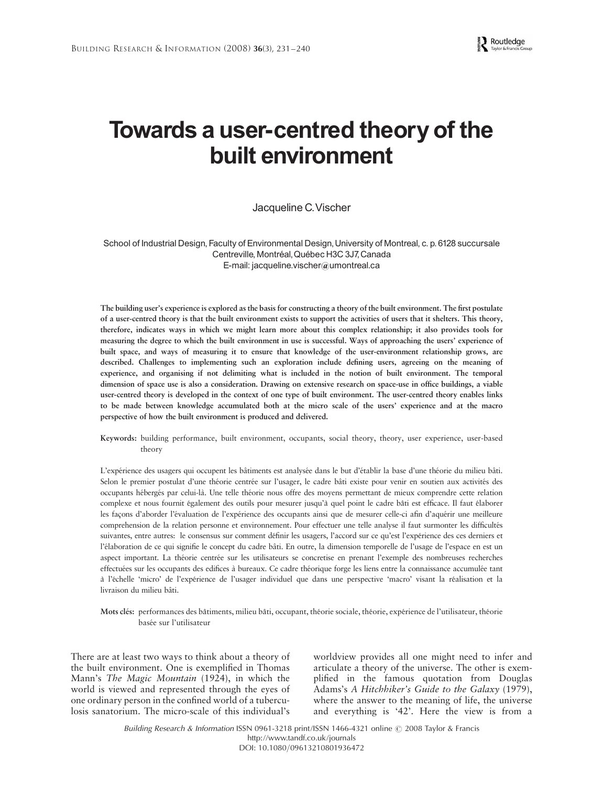# Towards a user-centred theory of the built environment

## Jacqueline C.Vischer

## School of Industrial Design, Faculty of Environmental Design, University of Montreal, c. p. 6128 succursale Centreville, Montréal, Québec H3C 3J7, Canada E-mail: jacqueline.vischer@umontreal.ca

The building user's experience is explored as the basis for constructing a theory of the built environment. The first postulate of a user-centred theory is that the built environment exists to support the activities of users that it shelters. This theory, therefore, indicates ways in which we might learn more about this complex relationship; it also provides tools for measuring the degree to which the built environment in use is successful. Ways of approaching the users' experience of built space, and ways of measuring it to ensure that knowledge of the user-environment relationship grows, are described. Challenges to implementing such an exploration include defining users, agreeing on the meaning of experience, and organising if not delimiting what is included in the notion of built environment. The temporal dimension of space use is also a consideration. Drawing on extensive research on space-use in office buildings, a viable user-centred theory is developed in the context of one type of built environment. The user-centred theory enables links to be made between knowledge accumulated both at the micro scale of the users' experience and at the macro perspective of how the built environment is produced and delivered.

Keywords: building performance, built environment, occupants, social theory, theory, user experience, user-based theory

L'expérience des usagers qui occupent les bâtiments est analysée dans le but d'établir la base d'une théorie du milieu bâti. Selon le premier postulat d'une théorie centrée sur l'usager, le cadre bâti existe pour venir en soutien aux activités des occupants he´berge´s par celui-la`. Une telle the´orie nous offre des moyens permettant de mieux comprendre cette relation complexe et nous fournit également des outils pour mesurer jusqu'à quel point le cadre bâti est efficace. Il faut élaborer les façons d'aborder l'évaluation de l'expérience des occupants ainsi que de mesurer celle-ci afin d'aquérir une meilleure comprehension de la relation personne et environnement. Pour effectuer une telle analyse il faut surmonter les difficultés suivantes, entre autres: le consensus sur comment définir les usagers, l'accord sur ce qu'est l'expérience des ces derniers et l'élaboration de ce qui signifie le concept du cadre bâti. En outre, la dimension temporelle de l'usage de l'espace en est un aspect important. La théorie centrée sur les utilisateurs se concretise en prenant l'exemple des nombreuses recherches effectuées sur les occupants des edifices à bureaux. Ce cadre théorique forge les liens entre la connaissance accumulée tant à l'échelle 'micro' de l'expérience de l'usager individuel que dans une perspective 'macro' visant la réalisation et la livraison du milieu bâti.

Mots clés: performances des bâtiments, milieu bâti, occupant, théorie sociale, théorie, expérience de l'utilisateur, théorie basée sur l'utilisateur

There are at least two ways to think about a theory of the built environment. One is exemplified in Thomas Mann's The Magic Mountain (1924), in which the world is viewed and represented through the eyes of one ordinary person in the confined world of a tuberculosis sanatorium. The micro-scale of this individual's worldview provides all one might need to infer and articulate a theory of the universe. The other is exemplified in the famous quotation from Douglas Adams's A Hitchhiker's Guide to the Galaxy (1979), where the answer to the meaning of life, the universe and everything is '42'. Here the view is from a

Building Research & Information ISSN 0961-3218 print/ISSN 1466-4321 online © 2008 Taylor & Francis http: ⁄ ⁄www.tandf.co.uk ⁄journals DOI: 10.1080/09613210801936472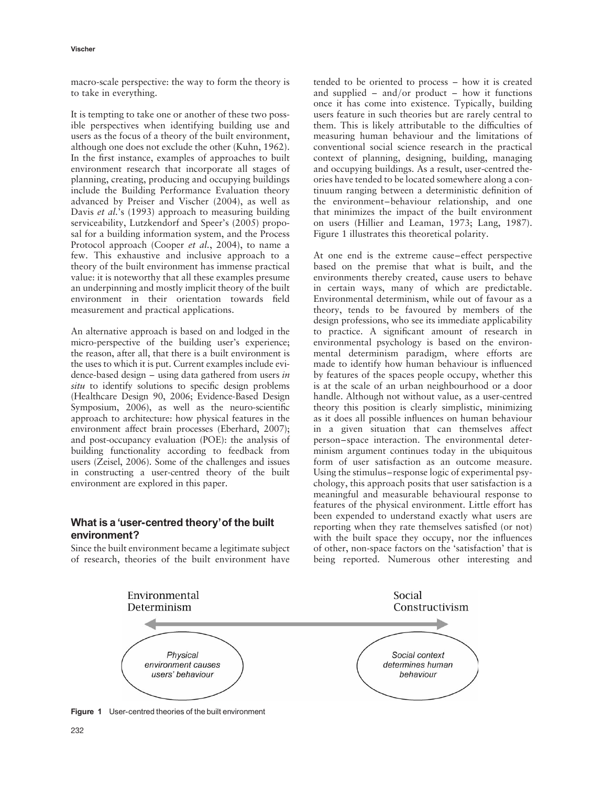#### Vischer

macro-scale perspective: the way to form the theory is to take in everything.

It is tempting to take one or another of these two possible perspectives when identifying building use and users as the focus of a theory of the built environment, although one does not exclude the other (Kuhn, 1962). In the first instance, examples of approaches to built environment research that incorporate all stages of planning, creating, producing and occupying buildings include the Building Performance Evaluation theory advanced by Preiser and Vischer (2004), as well as Davis *et al.*'s (1993) approach to measuring building serviceability, Lutzkendorf and Speer's (2005) proposal for a building information system, and the Process Protocol approach (Cooper et al., 2004), to name a few. This exhaustive and inclusive approach to a theory of the built environment has immense practical value: it is noteworthy that all these examples presume an underpinning and mostly implicit theory of the built environment in their orientation towards field measurement and practical applications.

An alternative approach is based on and lodged in the micro-perspective of the building user's experience; the reason, after all, that there is a built environment is the uses to which it is put. Current examples include evidence-based design – using data gathered from users in situ to identify solutions to specific design problems (Healthcare Design 90, 2006; Evidence-Based Design Symposium, 2006), as well as the neuro-scientific approach to architecture: how physical features in the environment affect brain processes (Eberhard, 2007); and post-occupancy evaluation (POE): the analysis of building functionality according to feedback from users (Zeisel, 2006). Some of the challenges and issues in constructing a user-centred theory of the built environment are explored in this paper.

# What is a 'user-centred theory'of the built environment?

Since the built environment became a legitimate subject of research, theories of the built environment have tended to be oriented to process – how it is created and supplied – and/or product – how it functions once it has come into existence. Typically, building users feature in such theories but are rarely central to them. This is likely attributable to the difficulties of measuring human behaviour and the limitations of conventional social science research in the practical context of planning, designing, building, managing and occupying buildings. As a result, user-centred theories have tended to be located somewhere along a continuum ranging between a deterministic definition of the environment–behaviour relationship, and one that minimizes the impact of the built environment on users (Hillier and Leaman, 1973; Lang, 1987). Figure 1 illustrates this theoretical polarity.

At one end is the extreme cause–effect perspective based on the premise that what is built, and the environments thereby created, cause users to behave in certain ways, many of which are predictable. Environmental determinism, while out of favour as a theory, tends to be favoured by members of the design professions, who see its immediate applicability to practice. A significant amount of research in environmental psychology is based on the environmental determinism paradigm, where efforts are made to identify how human behaviour is influenced by features of the spaces people occupy, whether this is at the scale of an urban neighbourhood or a door handle. Although not without value, as a user-centred theory this position is clearly simplistic, minimizing as it does all possible influences on human behaviour in a given situation that can themselves affect person–space interaction. The environmental determinism argument continues today in the ubiquitous form of user satisfaction as an outcome measure. Using the stimulus–response logic of experimental psychology, this approach posits that user satisfaction is a meaningful and measurable behavioural response to features of the physical environment. Little effort has been expended to understand exactly what users are reporting when they rate themselves satisfied (or not) with the built space they occupy, nor the influences of other, non-space factors on the 'satisfaction' that is being reported. Numerous other interesting and

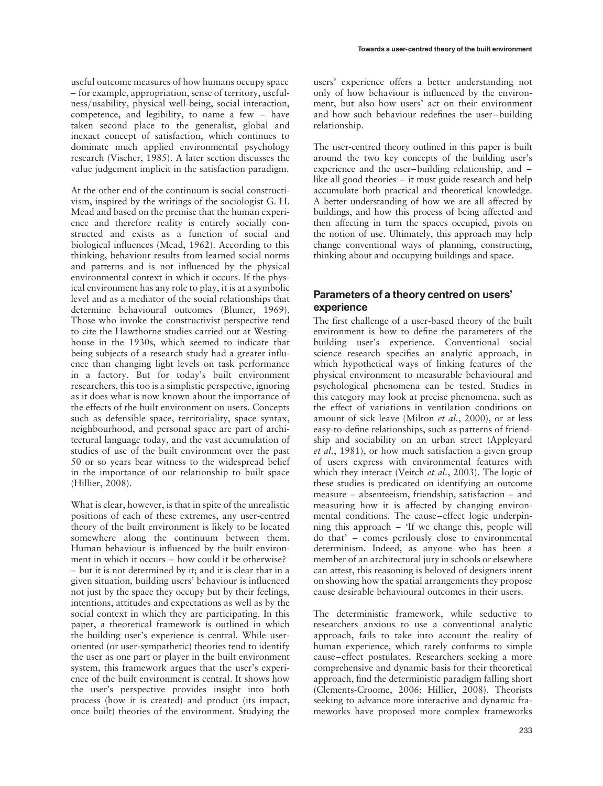useful outcome measures of how humans occupy space – for example, appropriation, sense of territory, usefulness/usability, physical well-being, social interaction, competence, and legibility, to name a few – have taken second place to the generalist, global and inexact concept of satisfaction, which continues to dominate much applied environmental psychology research (Vischer, 1985). A later section discusses the value judgement implicit in the satisfaction paradigm.

At the other end of the continuum is social constructivism, inspired by the writings of the sociologist G. H. Mead and based on the premise that the human experience and therefore reality is entirely socially constructed and exists as a function of social and biological influences (Mead, 1962). According to this thinking, behaviour results from learned social norms and patterns and is not influenced by the physical environmental context in which it occurs. If the physical environment has any role to play, it is at a symbolic level and as a mediator of the social relationships that determine behavioural outcomes (Blumer, 1969). Those who invoke the constructivist perspective tend to cite the Hawthorne studies carried out at Westinghouse in the 1930s, which seemed to indicate that being subjects of a research study had a greater influence than changing light levels on task performance in a factory. But for today's built environment researchers, this too is a simplistic perspective, ignoring as it does what is now known about the importance of the effects of the built environment on users. Concepts such as defensible space, territoriality, space syntax, neighbourhood, and personal space are part of architectural language today, and the vast accumulation of studies of use of the built environment over the past 50 or so years bear witness to the widespread belief in the importance of our relationship to built space (Hillier, 2008).

What is clear, however, is that in spite of the unrealistic positions of each of these extremes, any user-centred theory of the built environment is likely to be located somewhere along the continuum between them. Human behaviour is influenced by the built environment in which it occurs – how could it be otherwise? – but it is not determined by it; and it is clear that in a given situation, building users' behaviour is influenced not just by the space they occupy but by their feelings, intentions, attitudes and expectations as well as by the social context in which they are participating. In this paper, a theoretical framework is outlined in which the building user's experience is central. While useroriented (or user-sympathetic) theories tend to identify the user as one part or player in the built environment system, this framework argues that the user's experience of the built environment is central. It shows how the user's perspective provides insight into both process (how it is created) and product (its impact, once built) theories of the environment. Studying the users' experience offers a better understanding not only of how behaviour is influenced by the environment, but also how users' act on their environment and how such behaviour redefines the user–building relationship.

The user-centred theory outlined in this paper is built around the two key concepts of the building user's experience and the user–building relationship, and – like all good theories – it must guide research and help accumulate both practical and theoretical knowledge. A better understanding of how we are all affected by buildings, and how this process of being affected and then affecting in turn the spaces occupied, pivots on the notion of use. Ultimately, this approach may help change conventional ways of planning, constructing, thinking about and occupying buildings and space.

# Parameters of a theory centred on users' experience

The first challenge of a user-based theory of the built environment is how to define the parameters of the building user's experience. Conventional social science research specifies an analytic approach, in which hypothetical ways of linking features of the physical environment to measurable behavioural and psychological phenomena can be tested. Studies in this category may look at precise phenomena, such as the effect of variations in ventilation conditions on amount of sick leave (Milton et al., 2000), or at less easy-to-define relationships, such as patterns of friendship and sociability on an urban street (Appleyard et al., 1981), or how much satisfaction a given group of users express with environmental features with which they interact (Veitch et al., 2003). The logic of these studies is predicated on identifying an outcome measure – absenteeism, friendship, satisfaction – and measuring how it is affected by changing environmental conditions. The cause–effect logic underpinning this approach – 'If we change this, people will do that' – comes perilously close to environmental determinism. Indeed, as anyone who has been a member of an architectural jury in schools or elsewhere can attest, this reasoning is beloved of designers intent on showing how the spatial arrangements they propose cause desirable behavioural outcomes in their users.

The deterministic framework, while seductive to researchers anxious to use a conventional analytic approach, fails to take into account the reality of human experience, which rarely conforms to simple cause–effect postulates. Researchers seeking a more comprehensive and dynamic basis for their theoretical approach, find the deterministic paradigm falling short (Clements-Croome, 2006; Hillier, 2008). Theorists seeking to advance more interactive and dynamic frameworks have proposed more complex frameworks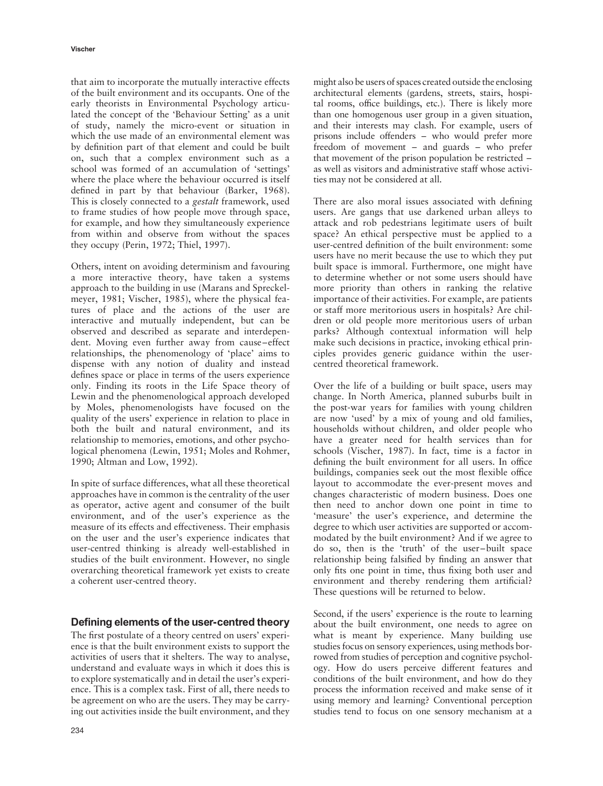that aim to incorporate the mutually interactive effects of the built environment and its occupants. One of the early theorists in Environmental Psychology articulated the concept of the 'Behaviour Setting' as a unit of study, namely the micro-event or situation in which the use made of an environmental element was by definition part of that element and could be built on, such that a complex environment such as a school was formed of an accumulation of 'settings' where the place where the behaviour occurred is itself defined in part by that behaviour (Barker, 1968). This is closely connected to a gestalt framework, used to frame studies of how people move through space, for example, and how they simultaneously experience from within and observe from without the spaces they occupy (Perin, 1972; Thiel, 1997).

Others, intent on avoiding determinism and favouring a more interactive theory, have taken a systems approach to the building in use (Marans and Spreckelmeyer, 1981; Vischer, 1985), where the physical features of place and the actions of the user are interactive and mutually independent, but can be observed and described as separate and interdependent. Moving even further away from cause–effect relationships, the phenomenology of 'place' aims to dispense with any notion of duality and instead defines space or place in terms of the users experience only. Finding its roots in the Life Space theory of Lewin and the phenomenological approach developed by Moles, phenomenologists have focused on the quality of the users' experience in relation to place in both the built and natural environment, and its relationship to memories, emotions, and other psychological phenomena (Lewin, 1951; Moles and Rohmer, 1990; Altman and Low, 1992).

In spite of surface differences, what all these theoretical approaches have in common is the centrality of the user as operator, active agent and consumer of the built environment, and of the user's experience as the measure of its effects and effectiveness. Their emphasis on the user and the user's experience indicates that user-centred thinking is already well-established in studies of the built environment. However, no single overarching theoretical framework yet exists to create a coherent user-centred theory.

## Defining elements of the user-centred theory

The first postulate of a theory centred on users' experience is that the built environment exists to support the activities of users that it shelters. The way to analyse, understand and evaluate ways in which it does this is to explore systematically and in detail the user's experience. This is a complex task. First of all, there needs to be agreement on who are the users. They may be carrying out activities inside the built environment, and they might also be users of spaces created outside the enclosing architectural elements (gardens, streets, stairs, hospital rooms, office buildings, etc.). There is likely more than one homogenous user group in a given situation, and their interests may clash. For example, users of prisons include offenders – who would prefer more freedom of movement – and guards – who prefer that movement of the prison population be restricted – as well as visitors and administrative staff whose activities may not be considered at all.

There are also moral issues associated with defining users. Are gangs that use darkened urban alleys to attack and rob pedestrians legitimate users of built space? An ethical perspective must be applied to a user-centred definition of the built environment: some users have no merit because the use to which they put built space is immoral. Furthermore, one might have to determine whether or not some users should have more priority than others in ranking the relative importance of their activities. For example, are patients or staff more meritorious users in hospitals? Are children or old people more meritorious users of urban parks? Although contextual information will help make such decisions in practice, invoking ethical principles provides generic guidance within the usercentred theoretical framework.

Over the life of a building or built space, users may change. In North America, planned suburbs built in the post-war years for families with young children are now 'used' by a mix of young and old families, households without children, and older people who have a greater need for health services than for schools (Vischer, 1987). In fact, time is a factor in defining the built environment for all users. In office buildings, companies seek out the most flexible office layout to accommodate the ever-present moves and changes characteristic of modern business. Does one then need to anchor down one point in time to 'measure' the user's experience, and determine the degree to which user activities are supported or accommodated by the built environment? And if we agree to do so, then is the 'truth' of the user–built space relationship being falsified by finding an answer that only fits one point in time, thus fixing both user and environment and thereby rendering them artificial? These questions will be returned to below.

Second, if the users' experience is the route to learning about the built environment, one needs to agree on what is meant by experience. Many building use studies focus on sensory experiences, using methods borrowed from studies of perception and cognitive psychology. How do users perceive different features and conditions of the built environment, and how do they process the information received and make sense of it using memory and learning? Conventional perception studies tend to focus on one sensory mechanism at a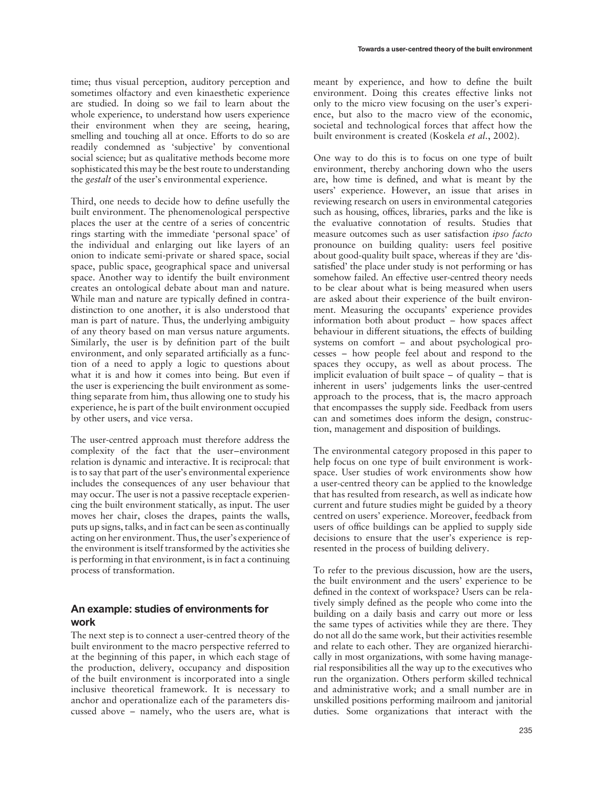time; thus visual perception, auditory perception and sometimes olfactory and even kinaesthetic experience are studied. In doing so we fail to learn about the whole experience, to understand how users experience their environment when they are seeing, hearing, smelling and touching all at once. Efforts to do so are readily condemned as 'subjective' by conventional social science; but as qualitative methods become more sophisticated this may be the best route to understanding the gestalt of the user's environmental experience.

Third, one needs to decide how to define usefully the built environment. The phenomenological perspective places the user at the centre of a series of concentric rings starting with the immediate 'personal space' of the individual and enlarging out like layers of an onion to indicate semi-private or shared space, social space, public space, geographical space and universal space. Another way to identify the built environment creates an ontological debate about man and nature. While man and nature are typically defined in contradistinction to one another, it is also understood that man is part of nature. Thus, the underlying ambiguity of any theory based on man versus nature arguments. Similarly, the user is by definition part of the built environment, and only separated artificially as a function of a need to apply a logic to questions about what it is and how it comes into being. But even if the user is experiencing the built environment as something separate from him, thus allowing one to study his experience, he is part of the built environment occupied by other users, and vice versa.

The user-centred approach must therefore address the complexity of the fact that the user–environment relation is dynamic and interactive. It is reciprocal: that is to say that part of the user's environmental experience includes the consequences of any user behaviour that may occur. The user is not a passive receptacle experiencing the built environment statically, as input. The user moves her chair, closes the drapes, paints the walls, puts up signs, talks, and in fact can be seen as continually acting on her environment. Thus, the user's experience of the environment is itself transformed by the activities she is performing in that environment, is in fact a continuing process of transformation.

# An example: studies of environments for work

The next step is to connect a user-centred theory of the built environment to the macro perspective referred to at the beginning of this paper, in which each stage of the production, delivery, occupancy and disposition of the built environment is incorporated into a single inclusive theoretical framework. It is necessary to anchor and operationalize each of the parameters discussed above – namely, who the users are, what is meant by experience, and how to define the built environment. Doing this creates effective links not only to the micro view focusing on the user's experience, but also to the macro view of the economic, societal and technological forces that affect how the built environment is created (Koskela et al., 2002).

One way to do this is to focus on one type of built environment, thereby anchoring down who the users are, how time is defined, and what is meant by the users' experience. However, an issue that arises in reviewing research on users in environmental categories such as housing, offices, libraries, parks and the like is the evaluative connotation of results. Studies that measure outcomes such as user satisfaction ipso facto pronounce on building quality: users feel positive about good-quality built space, whereas if they are 'dissatisfied' the place under study is not performing or has somehow failed. An effective user-centred theory needs to be clear about what is being measured when users are asked about their experience of the built environment. Measuring the occupants' experience provides information both about product – how spaces affect behaviour in different situations, the effects of building systems on comfort – and about psychological processes – how people feel about and respond to the spaces they occupy, as well as about process. The implicit evaluation of built space – of quality – that is inherent in users' judgements links the user-centred approach to the process, that is, the macro approach that encompasses the supply side. Feedback from users can and sometimes does inform the design, construction, management and disposition of buildings.

The environmental category proposed in this paper to help focus on one type of built environment is workspace. User studies of work environments show how a user-centred theory can be applied to the knowledge that has resulted from research, as well as indicate how current and future studies might be guided by a theory centred on users' experience. Moreover, feedback from users of office buildings can be applied to supply side decisions to ensure that the user's experience is represented in the process of building delivery.

To refer to the previous discussion, how are the users, the built environment and the users' experience to be defined in the context of workspace? Users can be relatively simply defined as the people who come into the building on a daily basis and carry out more or less the same types of activities while they are there. They do not all do the same work, but their activities resemble and relate to each other. They are organized hierarchically in most organizations, with some having managerial responsibilities all the way up to the executives who run the organization. Others perform skilled technical and administrative work; and a small number are in unskilled positions performing mailroom and janitorial duties. Some organizations that interact with the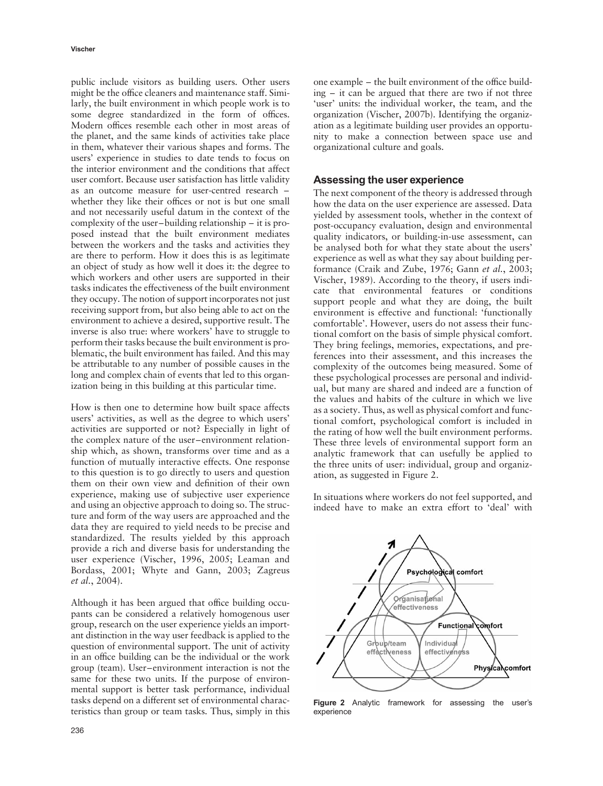#### Vischer

public include visitors as building users. Other users might be the office cleaners and maintenance staff. Similarly, the built environment in which people work is to some degree standardized in the form of offices. Modern offices resemble each other in most areas of the planet, and the same kinds of activities take place in them, whatever their various shapes and forms. The users' experience in studies to date tends to focus on the interior environment and the conditions that affect user comfort. Because user satisfaction has little validity as an outcome measure for user-centred research – whether they like their offices or not is but one small and not necessarily useful datum in the context of the complexity of the user–building relationship – it is proposed instead that the built environment mediates between the workers and the tasks and activities they are there to perform. How it does this is as legitimate an object of study as how well it does it: the degree to which workers and other users are supported in their tasks indicates the effectiveness of the built environment they occupy. The notion of support incorporates not just receiving support from, but also being able to act on the environment to achieve a desired, supportive result. The inverse is also true: where workers' have to struggle to perform their tasks because the built environment is problematic, the built environment has failed. And this may be attributable to any number of possible causes in the long and complex chain of events that led to this organization being in this building at this particular time.

How is then one to determine how built space affects users' activities, as well as the degree to which users' activities are supported or not? Especially in light of the complex nature of the user–environment relationship which, as shown, transforms over time and as a function of mutually interactive effects. One response to this question is to go directly to users and question them on their own view and definition of their own experience, making use of subjective user experience and using an objective approach to doing so. The structure and form of the way users are approached and the data they are required to yield needs to be precise and standardized. The results yielded by this approach provide a rich and diverse basis for understanding the user experience (Vischer, 1996, 2005; Leaman and Bordass, 2001; Whyte and Gann, 2003; Zagreus et al., 2004).

Although it has been argued that office building occupants can be considered a relatively homogenous user group, research on the user experience yields an important distinction in the way user feedback is applied to the question of environmental support. The unit of activity in an office building can be the individual or the work group (team). User–environment interaction is not the same for these two units. If the purpose of environmental support is better task performance, individual tasks depend on a different set of environmental characteristics than group or team tasks. Thus, simply in this

#### Assessing the user experience

The next component of the theory is addressed through how the data on the user experience are assessed. Data yielded by assessment tools, whether in the context of post-occupancy evaluation, design and environmental quality indicators, or building-in-use assessment, can be analysed both for what they state about the users' experience as well as what they say about building performance (Craik and Zube, 1976; Gann et al., 2003; Vischer, 1989). According to the theory, if users indicate that environmental features or conditions support people and what they are doing, the built environment is effective and functional: 'functionally comfortable'. However, users do not assess their functional comfort on the basis of simple physical comfort. They bring feelings, memories, expectations, and preferences into their assessment, and this increases the complexity of the outcomes being measured. Some of these psychological processes are personal and individual, but many are shared and indeed are a function of the values and habits of the culture in which we live as a society. Thus, as well as physical comfort and functional comfort, psychological comfort is included in the rating of how well the built environment performs. These three levels of environmental support form an analytic framework that can usefully be applied to the three units of user: individual, group and organization, as suggested in Figure 2.

In situations where workers do not feel supported, and indeed have to make an extra effort to 'deal' with



Figure 2 Analytic framework for assessing the user's experience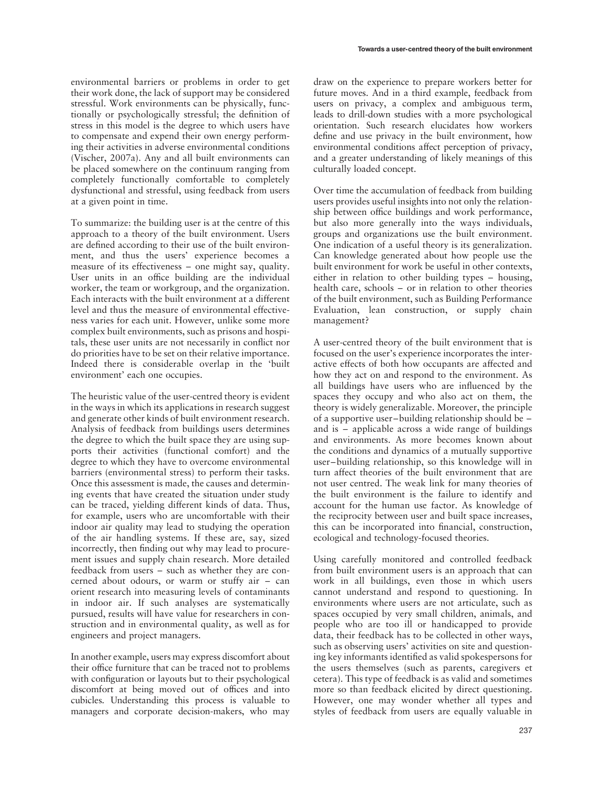environmental barriers or problems in order to get their work done, the lack of support may be considered stressful. Work environments can be physically, functionally or psychologically stressful; the definition of stress in this model is the degree to which users have to compensate and expend their own energy performing their activities in adverse environmental conditions (Vischer, 2007a). Any and all built environments can be placed somewhere on the continuum ranging from completely functionally comfortable to completely dysfunctional and stressful, using feedback from users at a given point in time.

To summarize: the building user is at the centre of this approach to a theory of the built environment. Users are defined according to their use of the built environment, and thus the users' experience becomes a measure of its effectiveness – one might say, quality. User units in an office building are the individual worker, the team or workgroup, and the organization. Each interacts with the built environment at a different level and thus the measure of environmental effectiveness varies for each unit. However, unlike some more complex built environments, such as prisons and hospitals, these user units are not necessarily in conflict nor do priorities have to be set on their relative importance. Indeed there is considerable overlap in the 'built environment' each one occupies.

The heuristic value of the user-centred theory is evident in the ways in which its applications in research suggest and generate other kinds of built environment research. Analysis of feedback from buildings users determines the degree to which the built space they are using supports their activities (functional comfort) and the degree to which they have to overcome environmental barriers (environmental stress) to perform their tasks. Once this assessment is made, the causes and determining events that have created the situation under study can be traced, yielding different kinds of data. Thus, for example, users who are uncomfortable with their indoor air quality may lead to studying the operation of the air handling systems. If these are, say, sized incorrectly, then finding out why may lead to procurement issues and supply chain research. More detailed feedback from users – such as whether they are concerned about odours, or warm or stuffy air – can orient research into measuring levels of contaminants in indoor air. If such analyses are systematically pursued, results will have value for researchers in construction and in environmental quality, as well as for engineers and project managers.

In another example, users may express discomfort about their office furniture that can be traced not to problems with configuration or layouts but to their psychological discomfort at being moved out of offices and into cubicles. Understanding this process is valuable to managers and corporate decision-makers, who may

draw on the experience to prepare workers better for future moves. And in a third example, feedback from users on privacy, a complex and ambiguous term, leads to drill-down studies with a more psychological orientation. Such research elucidates how workers define and use privacy in the built environment, how environmental conditions affect perception of privacy, and a greater understanding of likely meanings of this culturally loaded concept.

Over time the accumulation of feedback from building users provides useful insights into not only the relationship between office buildings and work performance, but also more generally into the ways individuals, groups and organizations use the built environment. One indication of a useful theory is its generalization. Can knowledge generated about how people use the built environment for work be useful in other contexts, either in relation to other building types – housing, health care, schools – or in relation to other theories of the built environment, such as Building Performance Evaluation, lean construction, or supply chain management?

A user-centred theory of the built environment that is focused on the user's experience incorporates the interactive effects of both how occupants are affected and how they act on and respond to the environment. As all buildings have users who are influenced by the spaces they occupy and who also act on them, the theory is widely generalizable. Moreover, the principle of a supportive user–building relationship should be – and is  $\overline{-}$  applicable across a wide range of buildings and environments. As more becomes known about the conditions and dynamics of a mutually supportive user–building relationship, so this knowledge will in turn affect theories of the built environment that are not user centred. The weak link for many theories of the built environment is the failure to identify and account for the human use factor. As knowledge of the reciprocity between user and built space increases, this can be incorporated into financial, construction, ecological and technology-focused theories.

Using carefully monitored and controlled feedback from built environment users is an approach that can work in all buildings, even those in which users cannot understand and respond to questioning. In environments where users are not articulate, such as spaces occupied by very small children, animals, and people who are too ill or handicapped to provide data, their feedback has to be collected in other ways, such as observing users' activities on site and questioning key informants identified as valid spokespersons for the users themselves (such as parents, caregivers et cetera). This type of feedback is as valid and sometimes more so than feedback elicited by direct questioning. However, one may wonder whether all types and styles of feedback from users are equally valuable in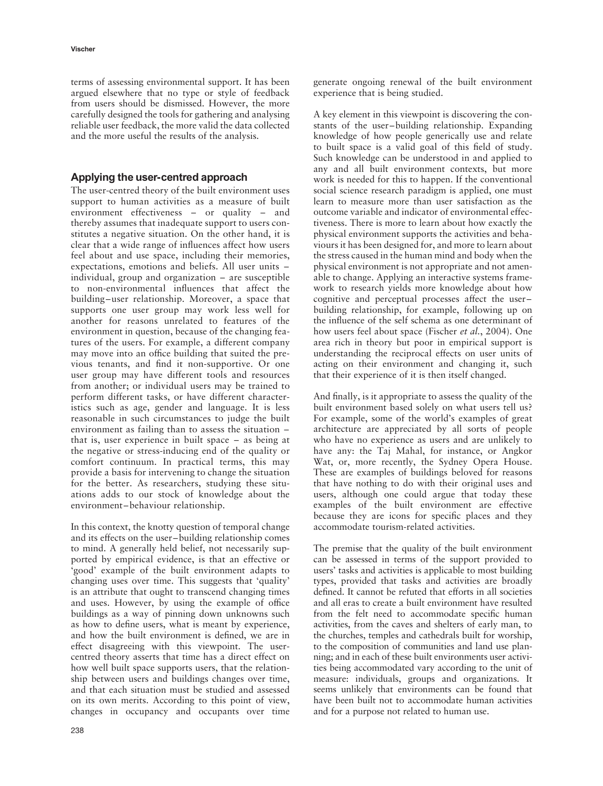Vischer

terms of assessing environmental support. It has been argued elsewhere that no type or style of feedback from users should be dismissed. However, the more carefully designed the tools for gathering and analysing reliable user feedback, the more valid the data collected and the more useful the results of the analysis.

## Applying the user-centred approach

The user-centred theory of the built environment uses support to human activities as a measure of built environment effectiveness – or quality – and thereby assumes that inadequate support to users constitutes a negative situation. On the other hand, it is clear that a wide range of influences affect how users feel about and use space, including their memories, expectations, emotions and beliefs. All user units – individual, group and organization – are susceptible to non-environmental influences that affect the building–user relationship. Moreover, a space that supports one user group may work less well for another for reasons unrelated to features of the environment in question, because of the changing features of the users. For example, a different company may move into an office building that suited the previous tenants, and find it non-supportive. Or one user group may have different tools and resources from another; or individual users may be trained to perform different tasks, or have different characteristics such as age, gender and language. It is less reasonable in such circumstances to judge the built environment as failing than to assess the situation – that is, user experience in built space – as being at the negative or stress-inducing end of the quality or comfort continuum. In practical terms, this may provide a basis for intervening to change the situation for the better. As researchers, studying these situations adds to our stock of knowledge about the environment–behaviour relationship.

In this context, the knotty question of temporal change and its effects on the user–building relationship comes to mind. A generally held belief, not necessarily supported by empirical evidence, is that an effective or 'good' example of the built environment adapts to changing uses over time. This suggests that 'quality' is an attribute that ought to transcend changing times and uses. However, by using the example of office buildings as a way of pinning down unknowns such as how to define users, what is meant by experience, and how the built environment is defined, we are in effect disagreeing with this viewpoint. The usercentred theory asserts that time has a direct effect on how well built space supports users, that the relationship between users and buildings changes over time, and that each situation must be studied and assessed on its own merits. According to this point of view, changes in occupancy and occupants over time generate ongoing renewal of the built environment experience that is being studied.

A key element in this viewpoint is discovering the constants of the user–building relationship. Expanding knowledge of how people generically use and relate to built space is a valid goal of this field of study. Such knowledge can be understood in and applied to any and all built environment contexts, but more work is needed for this to happen. If the conventional social science research paradigm is applied, one must learn to measure more than user satisfaction as the outcome variable and indicator of environmental effectiveness. There is more to learn about how exactly the physical environment supports the activities and behaviours it has been designed for, and more to learn about the stress caused in the human mind and body when the physical environment is not appropriate and not amenable to change. Applying an interactive systems framework to research yields more knowledge about how cognitive and perceptual processes affect the user– building relationship, for example, following up on the influence of the self schema as one determinant of how users feel about space (Fischer et al., 2004). One area rich in theory but poor in empirical support is understanding the reciprocal effects on user units of acting on their environment and changing it, such that their experience of it is then itself changed.

And finally, is it appropriate to assess the quality of the built environment based solely on what users tell us? For example, some of the world's examples of great architecture are appreciated by all sorts of people who have no experience as users and are unlikely to have any: the Taj Mahal, for instance, or Angkor Wat, or, more recently, the Sydney Opera House. These are examples of buildings beloved for reasons that have nothing to do with their original uses and users, although one could argue that today these examples of the built environment are effective because they are icons for specific places and they accommodate tourism-related activities.

The premise that the quality of the built environment can be assessed in terms of the support provided to users' tasks and activities is applicable to most building types, provided that tasks and activities are broadly defined. It cannot be refuted that efforts in all societies and all eras to create a built environment have resulted from the felt need to accommodate specific human activities, from the caves and shelters of early man, to the churches, temples and cathedrals built for worship, to the composition of communities and land use planning; and in each of these built environments user activities being accommodated vary according to the unit of measure: individuals, groups and organizations. It seems unlikely that environments can be found that have been built not to accommodate human activities and for a purpose not related to human use.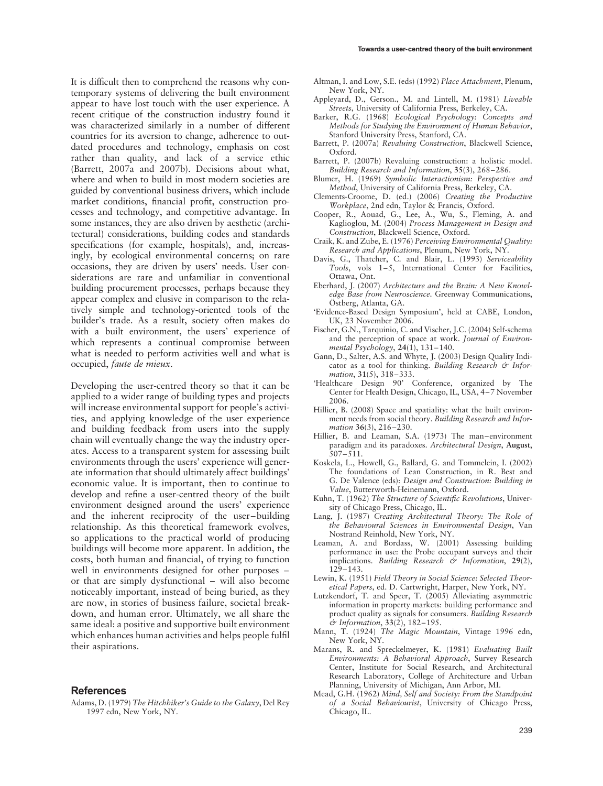It is difficult then to comprehend the reasons why contemporary systems of delivering the built environment appear to have lost touch with the user experience. A recent critique of the construction industry found it was characterized similarly in a number of different countries for its aversion to change, adherence to outdated procedures and technology, emphasis on cost rather than quality, and lack of a service ethic (Barrett, 2007a and 2007b). Decisions about what, where and when to build in most modern societies are guided by conventional business drivers, which include market conditions, financial profit, construction processes and technology, and competitive advantage. In some instances, they are also driven by aesthetic (architectural) considerations, building codes and standards specifications (for example, hospitals), and, increasingly, by ecological environmental concerns; on rare occasions, they are driven by users' needs. User considerations are rare and unfamiliar in conventional building procurement processes, perhaps because they appear complex and elusive in comparison to the relatively simple and technology-oriented tools of the builder's trade. As a result, society often makes do with a built environment, the users' experience of which represents a continual compromise between what is needed to perform activities well and what is occupied, faute de mieux.

Developing the user-centred theory so that it can be applied to a wider range of building types and projects will increase environmental support for people's activities, and applying knowledge of the user experience and building feedback from users into the supply chain will eventually change the way the industry operates. Access to a transparent system for assessing built environments through the users' experience will generate information that should ultimately affect buildings' economic value. It is important, then to continue to develop and refine a user-centred theory of the built environment designed around the users' experience and the inherent reciprocity of the user–building relationship. As this theoretical framework evolves, so applications to the practical world of producing buildings will become more apparent. In addition, the costs, both human and financial, of trying to function well in environments designed for other purposes – or that are simply dysfunctional – will also become noticeably important, instead of being buried, as they are now, in stories of business failure, societal breakdown, and human error. Ultimately, we all share the same ideal: a positive and supportive built environment which enhances human activities and helps people fulfil their aspirations.

#### **References**

Adams, D. (1979) The Hitchhiker's Guide to the Galaxy, Del Rey 1997 edn, New York, NY.

- Altman, I. and Low, S.E. (eds) (1992) Place Attachment, Plenum, New York, NY.
- Appleyard, D., Gerson., M. and Lintell, M. (1981) Liveable Streets, University of California Press, Berkeley, CA.
- Barker, R.G. (1968) Ecological Psychology: Concepts and Methods for Studying the Environment of Human Behavior, Stanford University Press, Stanford, CA.
- Barrett, P. (2007a) Revaluing Construction, Blackwell Science, Oxford.
- Barrett, P. (2007b) Revaluing construction: a holistic model. Building Research and Information, 35(3), 268–286.
- Blumer, H. (1969) Symbolic Interactionism: Perspective and Method, University of California Press, Berkeley, CA.
- Clements-Croome, D. (ed.) (2006) Creating the Productive Workplace, 2nd edn, Taylor & Francis, Oxford.
- Cooper, R., Aouad, G., Lee, A., Wu, S., Fleming, A. and Kaglioglou, M. (2004) Process Management in Design and Construction, Blackwell Science, Oxford.
- Craik, K. and Zube, E. (1976) Perceiving Environmental Quality: Research and Applications, Plenum, New York, NY.
- Davis, G., Thatcher, C. and Blair, L. (1993) Serviceability Tools, vols 1–5, International Center for Facilities, Ottawa, Ont.
- Eberhard, J. (2007) Architecture and the Brain: A New Knowledge Base from Neuroscience. Greenway Communications, Östberg, Atlanta, GA.
- 'Evidence-Based Design Symposium', held at CABE, London, UK, 23 November 2006.
- Fischer, G.N., Tarquinio, C. and Vischer, J.C. (2004) Self-schema and the perception of space at work. Journal of Environmental Psychology, 24(1), 131–140.
- Gann, D., Salter, A.S. and Whyte, J. (2003) Design Quality Indicator as a tool for thinking. Building Research & Information, 31(5), 318–333.
- 'Healthcare Design 90' Conference, organized by The Center for Health Design, Chicago, IL, USA, 4–7 November 2006.
- Hillier, B. (2008) Space and spatiality: what the built environment needs from social theory. Building Research and Information 36(3), 216–230.
- Hillier, B. and Leaman, S.A. (1973) The man–environment paradigm and its paradoxes. Architectural Design, August, 507–511.
- Koskela, L., Howell, G., Ballard, G. and Tommelein, I. (2002) The foundations of Lean Construction, in R. Best and G. De Valence (eds): Design and Construction: Building in Value, Butterworth-Heinemann, Oxford.
- Kuhn, T. (1962) The Structure of Scientific Revolutions, University of Chicago Press, Chicago, IL.
- Lang, J. (1987) Creating Architectural Theory: The Role of the Behavioural Sciences in Environmental Design, Van Nostrand Reinhold, New York, NY.
- Leaman, A. and Bordass, W. (2001) Assessing building performance in use: the Probe occupant surveys and their implications. Building Research  $\sigma$  Information, 29(2),  $129 - 143$
- Lewin, K. (1951) Field Theory in Social Science: Selected Theoretical Papers, ed. D. Cartwright, Harper, New York, NY.
- Lutzkendorf, T. and Speer, T. (2005) Alleviating asymmetric information in property markets: building performance and product quality as signals for consumers. Building Research & Information, 33(2), 182–195.
- Mann, T. (1924) The Magic Mountain, Vintage 1996 edn, New York, NY.
- Marans, R. and Spreckelmeyer, K. (1981) Evaluating Built Environments: A Behavioral Approach, Survey Research Center, Institute for Social Research, and Architectural Research Laboratory, College of Architecture and Urban Planning, University of Michigan, Ann Arbor, MI.
- Mead, G.H. (1962) Mind, Self and Society: From the Standpoint of a Social Behaviourist, University of Chicago Press, Chicago, IL.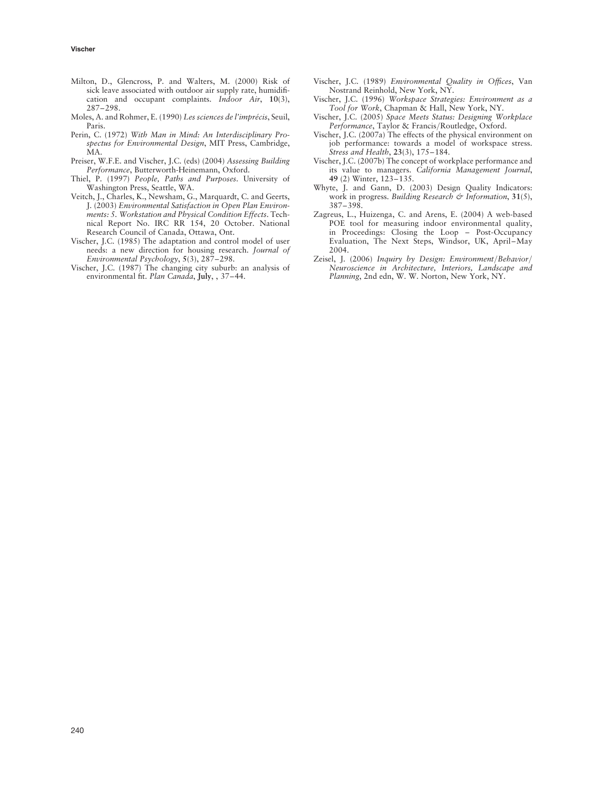- Milton, D., Glencross, P. and Walters, M. (2000) Risk of sick leave associated with outdoor air supply rate, humidification and occupant complaints.  $Indoor Air$ ,  $10(3)$ , 287–298.
- Moles, A. and Rohmer, E. (1990) Les sciences de l'imprécis, Seuil, Paris.
- Perin, C. (1972) With Man in Mind: An Interdisciplinary Prospectus for Environmental Design, MIT Press, Cambridge, MA.
- Preiser, W.F.E. and Vischer, J.C. (eds) (2004) Assessing Building Performance, Butterworth-Heinemann, Oxford.
- Thiel, P. (1997) People, Paths and Purposes. University of Washington Press, Seattle, WA.
- Veitch, J., Charles, K., Newsham, G., Marquardt, C. and Geerts, J. (2003) Environmental Satisfaction in Open Plan Environments: 5. Workstation and Physical Condition Effects. Technical Report No. IRC RR 154, 20 October. National Research Council of Canada, Ottawa, Ont.
- Vischer, J.C. (1985) The adaptation and control model of user needs: a new direction for housing research. Journal of Environmental Psychology, 5(3), 287–298.
- Vischer, J.C. (1987) The changing city suburb: an analysis of environmental fit. Plan Canada, July, , 37–44.
- Vischer, J.C. (1989) Environmental Quality in Offices, Van Nostrand Reinhold, New York, NY.
- Vischer, J.C. (1996) Workspace Strategies: Environment as a Tool for Work, Chapman & Hall, New York, NY.
- Vischer, J.C. (2005) Space Meets Status: Designing Workplace Performance, Taylor & Francis/Routledge, Oxford.
- Vischer, J.C. (2007a) The effects of the physical environment on job performance: towards a model of workspace stress. Stress and Health, 23(3), 175–184.
- Vischer, J.C. (2007b) The concept of workplace performance and its value to managers. California Management Journal, 49 (2) Winter, 123–135.
- Whyte, J. and Gann, D. (2003) Design Quality Indicators: work in progress. Building Research & Information, 31(5), 387–398.
- Zagreus, L., Huizenga, C. and Arens, E. (2004) A web-based POE tool for measuring indoor environmental quality, in Proceedings: Closing the Loop – Post-Occupancy Evaluation, The Next Steps, Windsor, UK, April–May 2004.
- Zeisel, J. (2006) Inquiry by Design: Environment/Behavior/ Neuroscience in Architecture, Interiors, Landscape and Planning, 2nd edn, W. W. Norton, New York, NY.